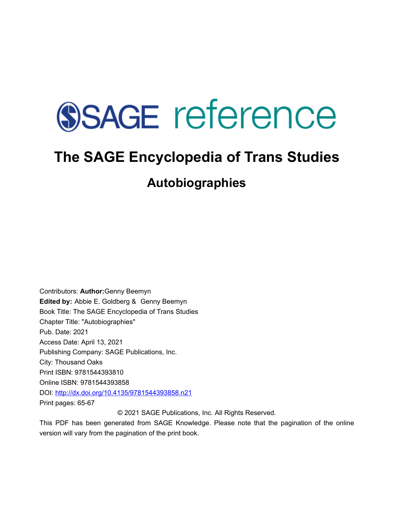# **SSAGE reference**

## **The SAGE Encyclopedia of Trans Studies**

### **Autobiographies**

Contributors: **Author:**Genny Beemyn **Edited by:** [Abbie E. Goldberg](javascript:void(0);) & [Genny Beemyn](javascript:void(0);)  Book Title: The SAGE Encyclopedia of Trans Studies Chapter Title: "Autobiographies" Pub. Date: 2021 Access Date: April 13, 2021 Publishing Company: SAGE Publications, Inc. City: Thousand Oaks Print ISBN: 9781544393810 Online ISBN: 9781544393858 DOI: <http://dx.doi.org/10.4135/9781544393858.n21> Print pages: 65-67

© 2021 SAGE Publications, Inc. All Rights Reserved.

This PDF has been generated from SAGE Knowledge. Please note that the pagination of the online version will vary from the pagination of the print book.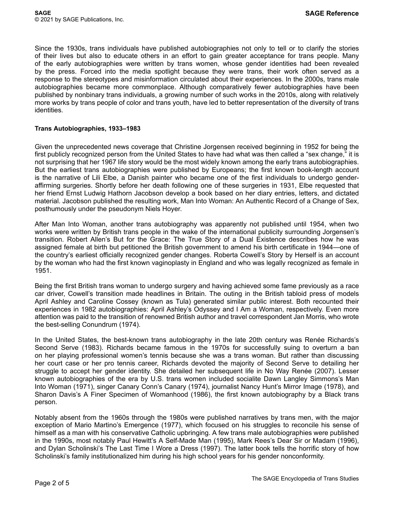Since the 1930s, trans individuals have published autobiographies not only to tell or to clarify the stories of their lives but also to educate others in an effort to gain greater acceptance for trans people. Many of the early autobiographies were written by trans women, whose gender identities had been revealed by the press. Forced into the media spotlight because they were trans, their work often served as a response to the stereotypes and misinformation circulated about their experiences. In the 2000s, trans male autobiographies became more commonplace. Although comparatively fewer autobiographies have been published by nonbinary trans individuals, a growing number of such works in the 2010s, along with relatively more works by trans people of color and trans youth, have led to better representation of the diversity of trans identities.

#### **Trans Autobiographies, 1933–1983**

Given the unprecedented news coverage that Christine Jorgensen received beginning in 1952 for being the first publicly recognized person from the United States to have had what was then called a "sex change." it is not surprising that her 1967 life story would be the most widely known among the early trans autobiographies. But the earliest trans autobiographies were published by Europeans; the first known book-length account is the narrative of Lili Elbe, a Danish painter who became one of the first individuals to undergo genderaffirming surgeries. Shortly before her death following one of these surgeries in 1931, Elbe requested that her friend Ernst Ludwig Hathorn Jacobson develop a book based on her diary entries, letters, and dictated material. Jacobson published the resulting work, Man Into Woman: An Authentic Record of a Change of Sex, posthumously under the pseudonym Niels Hoyer.

After Man Into Woman, another trans autobiography was apparently not published until 1954, when two works were written by British trans people in the wake of the international publicity surrounding Jorgensen's transition. Robert Allen's But for the Grace: The True Story of a Dual Existence describes how he was assigned female at birth but petitioned the British government to amend his birth certificate in 1944—one of the country's earliest officially recognized gender changes. Roberta Cowell's Story by Herself is an account by the woman who had the first known vaginoplasty in England and who was legally recognized as female in 1951.

Being the first British trans woman to undergo surgery and having achieved some fame previously as a race car driver, Cowell's transition made headlines in Britain. The outing in the British tabloid press of models April Ashley and Caroline Cossey (known as Tula) generated similar public interest. Both recounted their experiences in 1982 autobiographies: April Ashley's Odyssey and I Am a Woman, respectively. Even more attention was paid to the transition of renowned British author and travel correspondent Jan Morris, who wrote the best-selling Conundrum (1974).

In the United States, the best-known trans autobiography in the late 20th century was Renée Richards's Second Serve (1983). Richards became famous in the 1970s for successfully suing to overturn a ban on her playing professional women's tennis because she was a trans woman. But rather than discussing her court case or her pro tennis career, Richards devoted the majority of Second Serve to detailing her struggle to accept her gender identity. She detailed her subsequent life in No Way Renée (2007). Lesser known autobiographies of the era by U.S. trans women included socialite Dawn Langley Simmons's Man Into Woman (1971), singer Canary Conn's Canary (1974), journalist Nancy Hunt's Mirror Image (1978), and Sharon Davis's A Finer Specimen of Womanhood (1986), the first known autobiography by a Black trans person.

Notably absent from the 1960s through the 1980s were published narratives by trans men, with the major exception of Mario Martino's Emergence (1977), which focused on his struggles to reconcile his sense of himself as a man with his conservative Catholic upbringing. A few trans male autobiographies were published in the 1990s, most notably Paul Hewitt's A Self-Made Man (1995), Mark Rees's Dear Sir or Madam (1996), and Dylan Scholinski's The Last Time I Wore a Dress (1997). The latter book tells the horrific story of how Scholinski's family institutionalized him during his high school years for his gender nonconformity.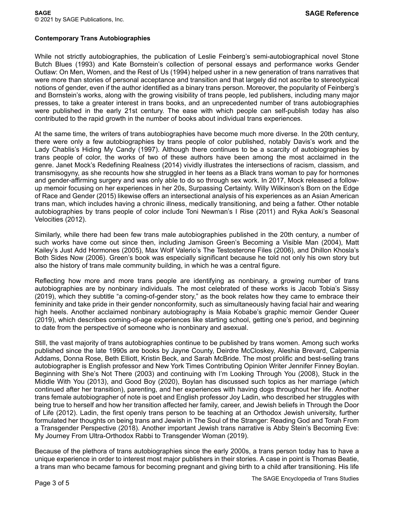#### **Contemporary Trans Autobiographies**

While not strictly autobiographies, the publication of Leslie Feinberg's semi-autobiographical novel Stone Butch Blues (1993) and Kate Bornstein's collection of personal essays and performance works Gender Outlaw: On Men, Women, and the Rest of Us (1994) helped usher in a new generation of trans narratives that were more than stories of personal acceptance and transition and that largely did not ascribe to stereotypical notions of gender, even if the author identified as a binary trans person. Moreover, the popularity of Feinberg's and Bornstein's works, along with the growing visibility of trans people, led publishers, including many major presses, to take a greater interest in trans books, and an unprecedented number of trans autobiographies were published in the early 21st century. The ease with which people can self-publish today has also contributed to the rapid growth in the number of books about individual trans experiences.

At the same time, the writers of trans autobiographies have become much more diverse. In the 20th century, there were only a few autobiographies by trans people of color published, notably Davis's work and the Lady Chablis's Hiding My Candy (1997). Although there continues to be a scarcity of autobiographies by trans people of color, the works of two of these authors have been among the most acclaimed in the genre. Janet Mock's Redefining Realness (2014) vividly illustrates the intersections of racism, classism, and transmisogyny, as she recounts how she struggled in her teens as a Black trans woman to pay for hormones and gender-affirming surgery and was only able to do so through sex work. In 2017, Mock released a followup memoir focusing on her experiences in her 20s, Surpassing Certainty. Willy Wilkinson's Born on the Edge of Race and Gender (2015) likewise offers an intersectional analysis of his experiences as an Asian American trans man, which includes having a chronic illness, medically transitioning, and being a father. Other notable autobiographies by trans people of color include Toni Newman's I Rise (2011) and Ryka Aoki's Seasonal Velocities (2012).

Similarly, while there had been few trans male autobiographies published in the 20th century, a number of such works have come out since then, including Jamison Green's Becoming a Visible Man (2004), Matt Kailey's Just Add Hormones (2005), Max Wolf Valerio's The Testosterone Files (2006), and Dhillon Khosla's Both Sides Now (2006). Green's book was especially significant because he told not only his own story but also the history of trans male community building, in which he was a central figure.

Reflecting how more and more trans people are identifying as nonbinary, a growing number of trans autobiographies are by nonbinary individuals. The most celebrated of these works is Jacob Tobia's Sissy (2019), which they subtitle "a coming-of-gender story," as the book relates how they came to embrace their femininity and take pride in their gender nonconformity, such as simultaneously having facial hair and wearing high heels. Another acclaimed nonbinary autobiography is Maia Kobabe's graphic memoir Gender Queer (2019), which describes coming-of-age experiences like starting school, getting one's period, and beginning to date from the perspective of someone who is nonbinary and asexual.

Still, the vast majority of trans autobiographies continue to be published by trans women. Among such works published since the late 1990s are books by Jayne County, Deirdre McCloskey, Aleshia Brevard, Calpernia Addams, Donna Rose, Beth Elliott, Kristin Beck, and Sarah McBride. The most prolific and best-selling trans autobiographer is English professor and New York Times Contributing Opinion Writer Jennifer Finney Boylan. Beginning with She's Not There (2003) and continuing with I'm Looking Through You (2008), Stuck in the Middle With You (2013), and Good Boy (2020), Boylan has discussed such topics as her marriage (which continued after her transition), parenting, and her experiences with having dogs throughout her life. Another trans female autobiographer of note is poet and English professor Joy Ladin, who described her struggles with being true to herself and how her transition affected her family, career, and Jewish beliefs in Through the Door of Life (2012). Ladin, the first openly trans person to be teaching at an Orthodox Jewish university, further formulated her thoughts on being trans and Jewish in The Soul of the Stranger: Reading God and Torah From a Transgender Perspective (2018). Another important Jewish trans narrative is Abby Stein's Becoming Eve: My Journey From Ultra-Orthodox Rabbi to Transgender Woman (2019).

Because of the plethora of trans autobiographies since the early 2000s, a trans person today has to have a unique experience in order to interest most major publishers in their stories. A case in point is Thomas Beatie, a trans man who became famous for becoming pregnant and giving birth to a child after transitioning. His life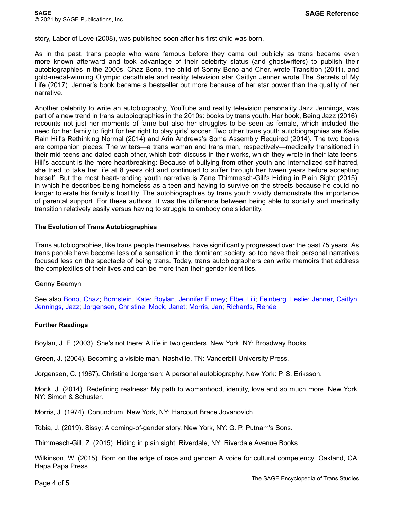story, Labor of Love (2008), was published soon after his first child was born.

As in the past, trans people who were famous before they came out publicly as trans became even more known afterward and took advantage of their celebrity status (and ghostwriters) to publish their autobiographies in the 2000s. Chaz Bono, the child of Sonny Bono and Cher, wrote Transition (2011), and gold-medal-winning Olympic decathlete and reality television star Caitlyn Jenner wrote The Secrets of My Life (2017). Jenner's book became a bestseller but more because of her star power than the quality of her narrative.

Another celebrity to write an autobiography, YouTube and reality television personality Jazz Jennings, was part of a new trend in trans autobiographies in the 2010s: books by trans youth. Her book, Being Jazz (2016), recounts not just her moments of fame but also her struggles to be seen as female, which included the need for her family to fight for her right to play girls' soccer. Two other trans youth autobiographies are Katie Rain Hill's Rethinking Normal (2014) and Arin Andrews's Some Assembly Required (2014). The two books are companion pieces: The writers—a trans woman and trans man, respectively—medically transitioned in their mid-teens and dated each other, which both discuss in their works, which they wrote in their late teens. Hill's account is the more heartbreaking: Because of bullying from other youth and internalized self-hatred, she tried to take her life at 8 years old and continued to suffer through her tween years before accepting herself. But the most heart-rending youth narrative is Zane Thimmesch-Gill's Hiding in Plain Sight (2015), in which he describes being homeless as a teen and having to survive on the streets because he could no longer tolerate his family's hostility. The autobiographies by trans youth vividly demonstrate the importance of parental support. For these authors, it was the difference between being able to socially and medically transition relatively easily versus having to struggle to embody one's identity.

#### **The Evolution of Trans Autobiographies**

Trans autobiographies, like trans people themselves, have significantly progressed over the past 75 years. As trans people have become less of a sensation in the dominant society, so too have their personal narratives focused less on the spectacle of being trans. Today, trans autobiographers can write memoirs that address the complexities of their lives and can be more than their gender identities.

#### Genny Beemyn

See also <u>[Bono, Chaz](http://sk.sagepub.com/reference/the-sage-encyclopedia-of-trans-studies/i1496.xml); [Bornstein, Kate](http://sk.sagepub.com/reference/the-sage-encyclopedia-of-trans-studies/i1512.xml); [Boylan, Jennifer Finney](http://sk.sagepub.com/reference/the-sage-encyclopedia-of-trans-studies/i1524.xml); [Elbe, Lili;](http://sk.sagepub.com/reference/the-sage-encyclopedia-of-trans-studies/i2433.xml) [Feinberg, Leslie;](http://sk.sagepub.com/reference/the-sage-encyclopedia-of-trans-studies/i2658.xml) [Jenner, Caitlyn](http://sk.sagepub.com/reference/the-sage-encyclopedia-of-trans-studies/i4242.xml)</u>; [Jennings, Jazz](http://sk.sagepub.com/reference/the-sage-encyclopedia-of-trans-studies/i4262.xml); [Jorgensen, Christine;](http://sk.sagepub.com/reference/the-sage-encyclopedia-of-trans-studies/i4331.xml) [Mock, Janet](http://sk.sagepub.com/reference/the-sage-encyclopedia-of-trans-studies/i4826.xml); [Morris, Jan;](http://sk.sagepub.com/reference/the-sage-encyclopedia-of-trans-studies/i4844.xml) [Richards, Renée](http://sk.sagepub.com/reference/the-sage-encyclopedia-of-trans-studies/i6176.xml) 

#### **Further Readings**

Boylan, J. F. (2003). She's not there: A life in two genders. New York, NY: Broadway Books.

Green, J. (2004). Becoming a visible man. Nashville, TN: Vanderbilt University Press.

Jorgensen, C. (1967). Christine Jorgensen: A personal autobiography. New York: P. S. Eriksson.

Mock, J. (2014). Redefining realness: My path to womanhood, identity, love and so much more. New York, NY: Simon & Schuster.

Morris, J. (1974). Conundrum. New York, NY: Harcourt Brace Jovanovich.

Tobia, J. (2019). Sissy: A coming-of-gender story. New York, NY: G. P. Putnam's Sons.

Thimmesch-Gill, Z. (2015). Hiding in plain sight. Riverdale, NY: Riverdale Avenue Books.

Wilkinson, W. (2015). Born on the edge of race and gender: A voice for cultural competency. Oakland, CA: Hapa Papa Press.